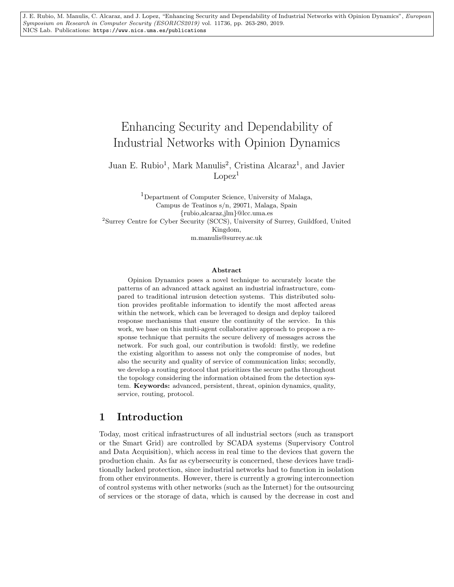J. E. Rubio, M. Manulis, C. Alcaraz, and J. Lopez, "Enhancing Security and Dependability of Industrial Networks with Opinion Dynamics", European Symposium on Research in Computer Security (ESORICS2019) vol. 11736, pp. 263-280, 2019. NICS Lab. Publications: https://www.nics.uma.es/publications

# Enhancing Security and Dependability of Industrial Networks with Opinion Dynamics

Juan E. Rubio<sup>1</sup>, Mark Manulis<sup>2</sup>, Cristina Alcaraz<sup>1</sup>, and Javier  $\text{Lopez}^1$ 

<sup>1</sup>Department of Computer Science, University of Malaga, Campus de Teatinos s/n, 29071, Malaga, Spain {rubio,alcaraz,jlm}@lcc.uma.es <sup>2</sup>Surrey Centre for Cyber Security (SCCS), University of Surrey, Guildford, United Kingdom, m.manulis@surrey.ac.uk

#### Abstract

Opinion Dynamics poses a novel technique to accurately locate the patterns of an advanced attack against an industrial infrastructure, compared to traditional intrusion detection systems. This distributed solution provides profitable information to identify the most affected areas within the network, which can be leveraged to design and deploy tailored response mechanisms that ensure the continuity of the service. In this work, we base on this multi-agent collaborative approach to propose a response technique that permits the secure delivery of messages across the network. For such goal, our contribution is twofold: firstly, we redefine the existing algorithm to assess not only the compromise of nodes, but also the security and quality of service of communication links; secondly, we develop a routing protocol that prioritizes the secure paths throughout the topology considering the information obtained from the detection system. Keywords: advanced, persistent, threat, opinion dynamics, quality, service, routing, protocol.

## 1 Introduction

Today, most critical infrastructures of all industrial sectors (such as transport or the Smart Grid) are controlled by SCADA systems (Supervisory Control and Data Acquisition), which access in real time to the devices that govern the production chain. As far as cybersecurity is concerned, these devices have traditionally lacked protection, since industrial networks had to function in isolation from other environments. However, there is currently a growing interconnection of control systems with other networks (such as the Internet) for the outsourcing of services or the storage of data, which is caused by the decrease in cost and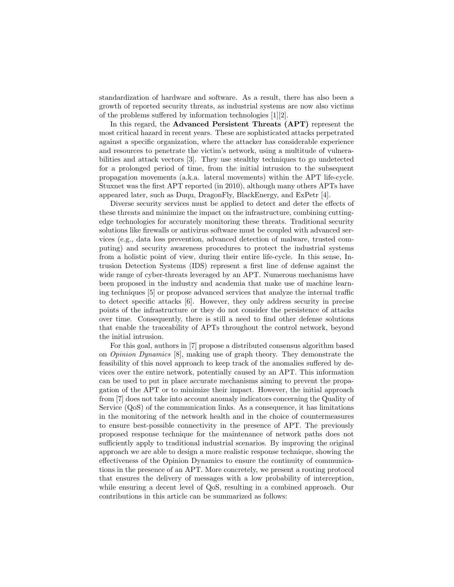standardization of hardware and software. As a result, there has also been a growth of reported security threats, as industrial systems are now also victims of the problems suffered by information technologies [1][2].

In this regard, the Advanced Persistent Threats (APT) represent the most critical hazard in recent years. These are sophisticated attacks perpetrated against a specific organization, where the attacker has considerable experience and resources to penetrate the victim's network, using a multitude of vulnerabilities and attack vectors [3]. They use stealthy techniques to go undetected for a prolonged period of time, from the initial intrusion to the subsequent propagation movements (a.k.a. lateral movements) within the APT life-cycle. Stuxnet was the first APT reported (in 2010), although many others APTs have appeared later, such as Duqu, DragonFly, BlackEnergy, and ExPetr [4].

Diverse security services must be applied to detect and deter the effects of these threats and minimize the impact on the infrastructure, combining cuttingedge technologies for accurately monitoring these threats. Traditional security solutions like firewalls or antivirus software must be coupled with advanced services (e.g., data loss prevention, advanced detection of malware, trusted computing) and security awareness procedures to protect the industrial systems from a holistic point of view, during their entire life-cycle. In this sense, Intrusion Detection Systems (IDS) represent a first line of defense against the wide range of cyber-threats leveraged by an APT. Numerous mechanisms have been proposed in the industry and academia that make use of machine learning techniques [5] or propose advanced services that analyze the internal traffic to detect specific attacks [6]. However, they only address security in precise points of the infrastructure or they do not consider the persistence of attacks over time. Consequently, there is still a need to find other defense solutions that enable the traceability of APTs throughout the control network, beyond the initial intrusion.

For this goal, authors in [7] propose a distributed consensus algorithm based on Opinion Dynamics [8], making use of graph theory. They demonstrate the feasibility of this novel approach to keep track of the anomalies suffered by devices over the entire network, potentially caused by an APT. This information can be used to put in place accurate mechanisms aiming to prevent the propagation of the APT or to minimize their impact. However, the initial approach from [7] does not take into account anomaly indicators concerning the Quality of Service (QoS) of the communication links. As a consequence, it has limitations in the monitoring of the network health and in the choice of countermeasures to ensure best-possible connectivity in the presence of APT. The previously proposed response technique for the maintenance of network paths does not sufficiently apply to traditional industrial scenarios. By improving the original approach we are able to design a more realistic response technique, showing the effectiveness of the Opinion Dynamics to ensure the continuity of communications in the presence of an APT. More concretely, we present a routing protocol that ensures the delivery of messages with a low probability of interception, while ensuring a decent level of QoS, resulting in a combined approach. Our contributions in this article can be summarized as follows: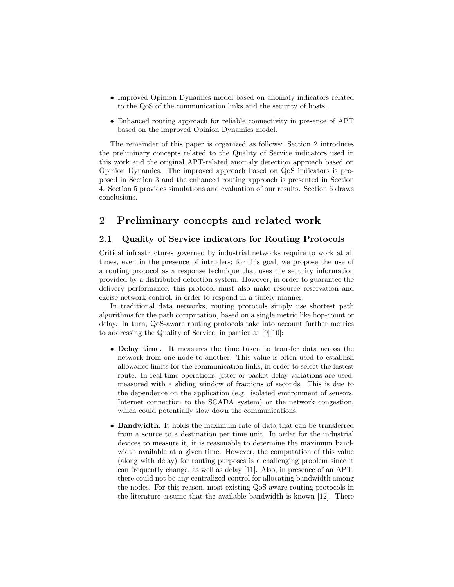- Improved Opinion Dynamics model based on anomaly indicators related to the QoS of the communication links and the security of hosts.
- Enhanced routing approach for reliable connectivity in presence of APT based on the improved Opinion Dynamics model.

The remainder of this paper is organized as follows: Section 2 introduces the preliminary concepts related to the Quality of Service indicators used in this work and the original APT-related anomaly detection approach based on Opinion Dynamics. The improved approach based on QoS indicators is proposed in Section 3 and the enhanced routing approach is presented in Section 4. Section 5 provides simulations and evaluation of our results. Section 6 draws conclusions.

## 2 Preliminary concepts and related work

#### 2.1 Quality of Service indicators for Routing Protocols

Critical infrastructures governed by industrial networks require to work at all times, even in the presence of intruders; for this goal, we propose the use of a routing protocol as a response technique that uses the security information provided by a distributed detection system. However, in order to guarantee the delivery performance, this protocol must also make resource reservation and excise network control, in order to respond in a timely manner.

In traditional data networks, routing protocols simply use shortest path algorithms for the path computation, based on a single metric like hop-count or delay. In turn, QoS-aware routing protocols take into account further metrics to addressing the Quality of Service, in particular [9][10]:

- Delay time. It measures the time taken to transfer data across the network from one node to another. This value is often used to establish allowance limits for the communication links, in order to select the fastest route. In real-time operations, jitter or packet delay variations are used, measured with a sliding window of fractions of seconds. This is due to the dependence on the application (e.g., isolated environment of sensors, Internet connection to the SCADA system) or the network congestion, which could potentially slow down the communications.
- Bandwidth. It holds the maximum rate of data that can be transferred from a source to a destination per time unit. In order for the industrial devices to measure it, it is reasonable to determine the maximum bandwidth available at a given time. However, the computation of this value (along with delay) for routing purposes is a challenging problem since it can frequently change, as well as delay [11]. Also, in presence of an APT, there could not be any centralized control for allocating bandwidth among the nodes. For this reason, most existing QoS-aware routing protocols in the literature assume that the available bandwidth is known [12]. There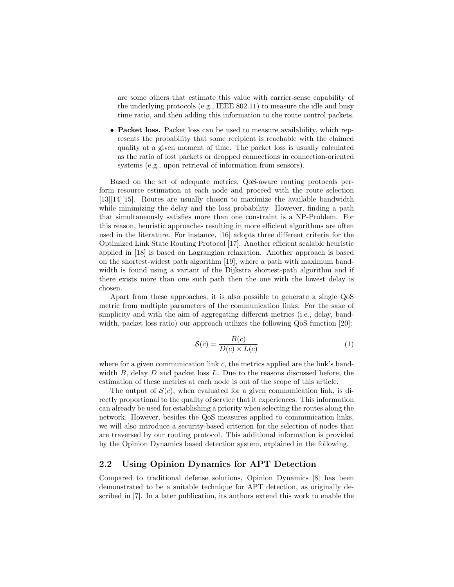are some others that estimate this value with carrier-sense capability of the underlying protocols (e.g., IEEE 802.11) to measure the idle and busy time ratio, and then adding this information to the route control packets.

• Packet loss. Packet loss can be used to measure availability, which represents the probability that some recipient is reachable with the claimed quality at a given moment of time. The packet loss is usually calculated as the ratio of lost packets or dropped connections in connection-oriented systems (e.g., upon retrieval of information from sensors).

Based on the set of adequate metrics, QoS-aware routing protocols perform resource estimation at each node and proceed with the route selection [13][14][15]. Routes are usually chosen to maximize the available bandwidth while minimizing the delay and the loss probability. However, finding a path that simultaneously satisfies more than one constraint is a NP-Problem. For this reason, heuristic approaches resulting in more efficient algorithms are often used in the literature. For instance, [16] adopts three different criteria for the Optimized Link State Routing Protocol [17]. Another efficient scalable heuristic applied in [18] is based on Lagrangian relaxation. Another approach is based on the shortest-widest path algorithm [19], where a path with maximum bandwidth is found using a variant of the Dijkstra shortest-path algorithm and if there exists more than one such path then the one with the lowest delay is chosen.

Apart from these approaches, it is also possible to generate a single QoS metric from multiple parameters of the communication links. For the sake of simplicity and with the aim of aggregating different metrics (i.e., delay, bandwidth, packet loss ratio) our approach utilizes the following QoS function [20]:

$$
S(c) = \frac{B(c)}{D(c) \times L(c)}\tag{1}
$$

where for a given communication link  $c$ , the metrics applied are the link's bandwidth  $B$ , delay  $D$  and packet loss  $L$ . Due to the reasons discussed before, the estimation of these metrics at each node is out of the scope of this article.

The output of  $S(c)$ , when evaluated for a given communication link, is directly proportional to the quality of service that it experiences. This information can already be used for establishing a priority when selecting the routes along the network. However, besides the QoS measures applied to communication links, we will also introduce a security-based criterion for the selection of nodes that are traversed by our routing protocol. This additional information is provided by the Opinion Dynamics based detection system, explained in the following.

### 2.2 Using Opinion Dynamics for APT Detection

Compared to traditional defense solutions, Opinion Dynamics [8] has been demonstrated to be a suitable technique for APT detection, as originally described in [7]. In a later publication, its authors extend this work to enable the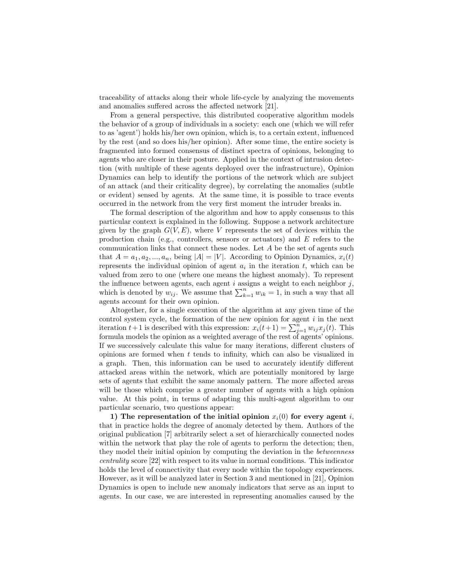traceability of attacks along their whole life-cycle by analyzing the movements and anomalies suffered across the affected network [21].

From a general perspective, this distributed cooperative algorithm models the behavior of a group of individuals in a society: each one (which we will refer to as 'agent') holds his/her own opinion, which is, to a certain extent, influenced by the rest (and so does his/her opinion). After some time, the entire society is fragmented into formed consensus of distinct spectra of opinions, belonging to agents who are closer in their posture. Applied in the context of intrusion detection (with multiple of these agents deployed over the infrastructure), Opinion Dynamics can help to identify the portions of the network which are subject of an attack (and their criticality degree), by correlating the anomalies (subtle or evident) sensed by agents. At the same time, it is possible to trace events occurred in the network from the very first moment the intruder breaks in.

The formal description of the algorithm and how to apply consensus to this particular context is explained in the following. Suppose a network architecture given by the graph  $G(V, E)$ , where V represents the set of devices within the production chain (e.g., controllers, sensors or actuators) and E refers to the communication links that connect these nodes. Let A be the set of agents such that  $A = a_1, a_2, ..., a_n$ , being  $|A| = |V|$ . According to Opinion Dynamics,  $x_i(t)$ represents the individual opinion of agent  $a_i$  in the iteration  $t$ , which can be valued from zero to one (where one means the highest anomaly). To represent the influence between agents, each agent  $i$  assigns a weight to each neighbor  $j$ , which is denoted by  $w_{ij}$ . We assume that  $\sum_{k=1}^{n} w_{ik} = 1$ , in such a way that all agents account for their own opinion.

Altogether, for a single execution of the algorithm at any given time of the control system cycle, the formation of the new opinion for agent  $i$  in the next iteration  $t+1$  is described with this expression:  $x_i(t+1) = \sum_{j=1}^n w_{ij} x_j(t)$ . This formula models the opinion as a weighted average of the rest of agents' opinions. If we successively calculate this value for many iterations, different clusters of opinions are formed when  $t$  tends to infinity, which can also be visualized in a graph. Then, this information can be used to accurately identify different attacked areas within the network, which are potentially monitored by large sets of agents that exhibit the same anomaly pattern. The more affected areas will be those which comprise a greater number of agents with a high opinion value. At this point, in terms of adapting this multi-agent algorithm to our particular scenario, two questions appear:

1) The representation of the initial opinion  $x_i(0)$  for every agent i, that in practice holds the degree of anomaly detected by them. Authors of the original publication [7] arbitrarily select a set of hierarchically connected nodes within the network that play the role of agents to perform the detection; then, they model their initial opinion by computing the deviation in the betweenness centrality score [22] with respect to its value in normal conditions. This indicator holds the level of connectivity that every node within the topology experiences. However, as it will be analyzed later in Section 3 and mentioned in [21], Opinion Dynamics is open to include new anomaly indicators that serve as an input to agents. In our case, we are interested in representing anomalies caused by the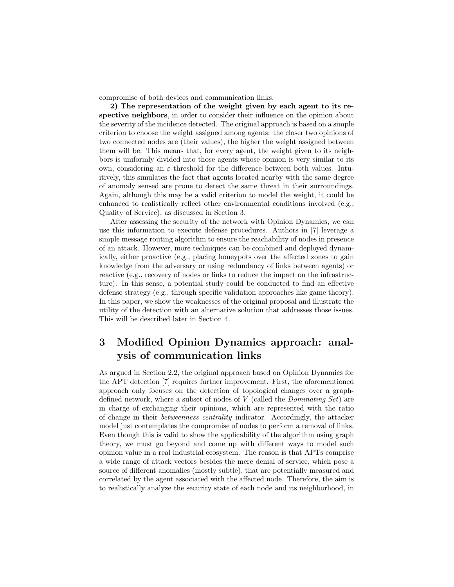compromise of both devices and communication links.

2) The representation of the weight given by each agent to its respective neighbors, in order to consider their influence on the opinion about the severity of the incidence detected. The original approach is based on a simple criterion to choose the weight assigned among agents: the closer two opinions of two connected nodes are (their values), the higher the weight assigned between them will be. This means that, for every agent, the weight given to its neighbors is uniformly divided into those agents whose opinion is very similar to its own, considering an  $\varepsilon$  threshold for the difference between both values. Intuitively, this simulates the fact that agents located nearby with the same degree of anomaly sensed are prone to detect the same threat in their surroundings. Again, although this may be a valid criterion to model the weight, it could be enhanced to realistically reflect other environmental conditions involved (e.g., Quality of Service), as discussed in Section 3.

After assessing the security of the network with Opinion Dynamics, we can use this information to execute defense procedures. Authors in [7] leverage a simple message routing algorithm to ensure the reachability of nodes in presence of an attack. However, more techniques can be combined and deployed dynamically, either proactive (e.g., placing honeypots over the affected zones to gain knowledge from the adversary or using redundancy of links between agents) or reactive (e.g., recovery of nodes or links to reduce the impact on the infrastructure). In this sense, a potential study could be conducted to find an effective defense strategy (e.g., through specific validation approaches like game theory). In this paper, we show the weaknesses of the original proposal and illustrate the utility of the detection with an alternative solution that addresses those issues. This will be described later in Section 4.

## 3 Modified Opinion Dynamics approach: analysis of communication links

As argued in Section 2.2, the original approach based on Opinion Dynamics for the APT detection [7] requires further improvement. First, the aforementioned approach only focuses on the detection of topological changes over a graphdefined network, where a subset of nodes of  $V$  (called the *Dominating Set*) are in charge of exchanging their opinions, which are represented with the ratio of change in their betweenness centrality indicator. Accordingly, the attacker model just contemplates the compromise of nodes to perform a removal of links. Even though this is valid to show the applicability of the algorithm using graph theory, we must go beyond and come up with different ways to model such opinion value in a real industrial ecosystem. The reason is that APTs comprise a wide range of attack vectors besides the mere denial of service, which pose a source of different anomalies (mostly subtle), that are potentially measured and correlated by the agent associated with the affected node. Therefore, the aim is to realistically analyze the security state of each node and its neighborhood, in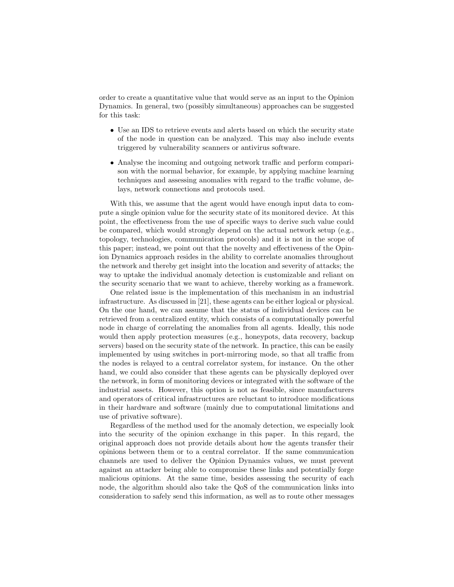order to create a quantitative value that would serve as an input to the Opinion Dynamics. In general, two (possibly simultaneous) approaches can be suggested for this task:

- Use an IDS to retrieve events and alerts based on which the security state of the node in question can be analyzed. This may also include events triggered by vulnerability scanners or antivirus software.
- Analyse the incoming and outgoing network traffic and perform comparison with the normal behavior, for example, by applying machine learning techniques and assessing anomalies with regard to the traffic volume, delays, network connections and protocols used.

With this, we assume that the agent would have enough input data to compute a single opinion value for the security state of its monitored device. At this point, the effectiveness from the use of specific ways to derive such value could be compared, which would strongly depend on the actual network setup (e.g., topology, technologies, communication protocols) and it is not in the scope of this paper; instead, we point out that the novelty and effectiveness of the Opinion Dynamics approach resides in the ability to correlate anomalies throughout the network and thereby get insight into the location and severity of attacks; the way to uptake the individual anomaly detection is customizable and reliant on the security scenario that we want to achieve, thereby working as a framework.

One related issue is the implementation of this mechanism in an industrial infrastructure. As discussed in [21], these agents can be either logical or physical. On the one hand, we can assume that the status of individual devices can be retrieved from a centralized entity, which consists of a computationally powerful node in charge of correlating the anomalies from all agents. Ideally, this node would then apply protection measures (e.g., honeypots, data recovery, backup servers) based on the security state of the network. In practice, this can be easily implemented by using switches in port-mirroring mode, so that all traffic from the nodes is relayed to a central correlator system, for instance. On the other hand, we could also consider that these agents can be physically deployed over the network, in form of monitoring devices or integrated with the software of the industrial assets. However, this option is not as feasible, since manufacturers and operators of critical infrastructures are reluctant to introduce modifications in their hardware and software (mainly due to computational limitations and use of privative software).

Regardless of the method used for the anomaly detection, we especially look into the security of the opinion exchange in this paper. In this regard, the original approach does not provide details about how the agents transfer their opinions between them or to a central correlator. If the same communication channels are used to deliver the Opinion Dynamics values, we must prevent against an attacker being able to compromise these links and potentially forge malicious opinions. At the same time, besides assessing the security of each node, the algorithm should also take the QoS of the communication links into consideration to safely send this information, as well as to route other messages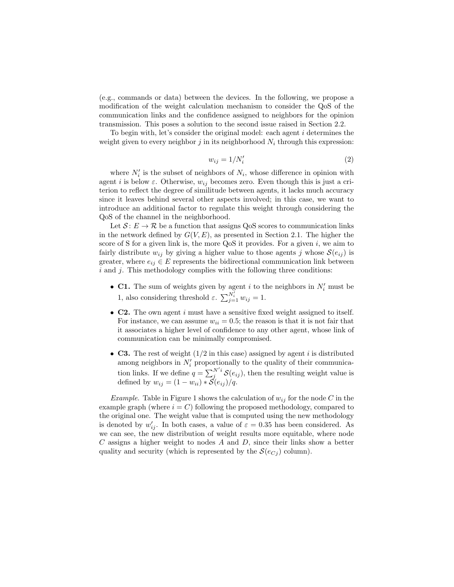(e.g., commands or data) between the devices. In the following, we propose a modification of the weight calculation mechanism to consider the QoS of the communication links and the confidence assigned to neighbors for the opinion transmission. This poses a solution to the second issue raised in Section 2.2.

To begin with, let's consider the original model: each agent  $i$  determines the weight given to every neighbor j in its neighborhood  $N_i$  through this expression:

$$
w_{ij} = 1/N_i'
$$
 (2)

where  $N_i'$  is the subset of neighbors of  $N_i$ , whose difference in opinion with agent i is below  $\varepsilon$ . Otherwise,  $w_{ij}$  becomes zero. Even though this is just a criterion to reflect the degree of similitude between agents, it lacks much accuracy since it leaves behind several other aspects involved; in this case, we want to introduce an additional factor to regulate this weight through considering the QoS of the channel in the neighborhood.

Let  $\mathcal{S} \colon E \to \mathcal{R}$  be a function that assigns QoS scores to communication links in the network defined by  $G(V, E)$ , as presented in Section 2.1. The higher the score of S for a given link is, the more  $QoS$  it provides. For a given i, we aim to fairly distribute  $w_{ij}$  by giving a higher value to those agents j whose  $\mathcal{S}(e_{ij})$  is greater, where  $e_{ij} \in E$  represents the bidirectional communication link between  $i$  and  $j$ . This methodology complies with the following three conditions:

- C1. The sum of weights given by agent i to the neighbors in  $N_i'$  must be 1, also considering threshold  $\varepsilon$ .  $\sum_{j=1}^{N'_i} w_{ij} = 1$ .
- $C2$ . The own agent i must have a sensitive fixed weight assigned to itself. For instance, we can assume  $w_{ii} = 0.5$ ; the reason is that it is not fair that it associates a higher level of confidence to any other agent, whose link of communication can be minimally compromised.
- C3. The rest of weight  $(1/2 \text{ in this case})$  assigned by agent i is distributed among neighbors in  $N_i'$  proportionally to the quality of their communication links. If we define  $q = \sum_{j}^{N'i} \mathcal{S}(e_{ij})$ , then the resulting weight value is defined by  $w_{ij} = (1 - w_{ii}) * \mathcal{S}(e_{ij})/q$ .

*Example.* Table in Figure 1 shows the calculation of  $w_{ij}$  for the node C in the example graph (where  $i = C$ ) following the proposed methodology, compared to the original one. The weight value that is computed using the new methodology is denoted by  $w'_{ij}$ . In both cases, a value of  $\varepsilon = 0.35$  has been considered. As we can see, the new distribution of weight results more equitable, where node C assigns a higher weight to nodes A and D, since their links show a better quality and security (which is represented by the  $\mathcal{S}(e_{C_i})$  column).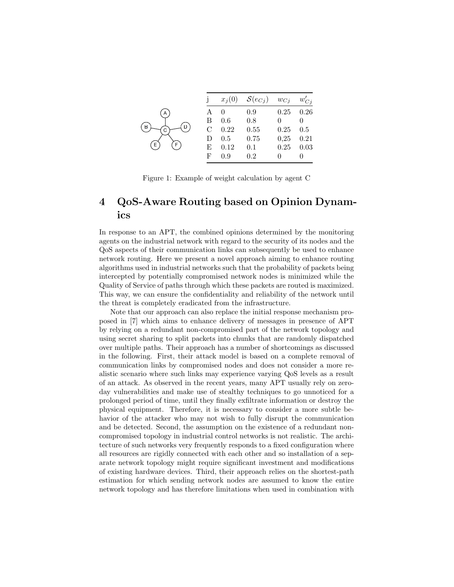|         |               |          | $x_j(0)$ $\mathcal{S}(e_{Cj})$ $w_{Cj}$ |              | $w'_{C}$ |
|---------|---------------|----------|-----------------------------------------|--------------|----------|
| F.<br>E | А             | $\theta$ | 0.9                                     | 0.25         | 0.26     |
|         | B             | 0.6      | 0.8                                     | $\theta$     |          |
|         | $\mathcal{C}$ | 0.22     | 0.55                                    | 0.25         | 0.5      |
|         | $\mathsf{D}$  | 0.5      | 0.75                                    | 0,25         | 0.21     |
|         | E             | 0.12     | 0.1                                     | 0.25         | 0.03     |
|         | F             | 0.9      | 0.2                                     | $\mathbf{0}$ |          |

Figure 1: Example of weight calculation by agent C

## 4 QoS-Aware Routing based on Opinion Dynamics

In response to an APT, the combined opinions determined by the monitoring agents on the industrial network with regard to the security of its nodes and the QoS aspects of their communication links can subsequently be used to enhance network routing. Here we present a novel approach aiming to enhance routing algorithms used in industrial networks such that the probability of packets being intercepted by potentially compromised network nodes is minimized while the Quality of Service of paths through which these packets are routed is maximized. This way, we can ensure the confidentiality and reliability of the network until the threat is completely eradicated from the infrastructure.

Note that our approach can also replace the initial response mechanism proposed in [7] which aims to enhance delivery of messages in presence of APT by relying on a redundant non-compromised part of the network topology and using secret sharing to split packets into chunks that are randomly dispatched over multiple paths. Their approach has a number of shortcomings as discussed in the following. First, their attack model is based on a complete removal of communication links by compromised nodes and does not consider a more realistic scenario where such links may experience varying QoS levels as a result of an attack. As observed in the recent years, many APT usually rely on zeroday vulnerabilities and make use of stealthy techniques to go unnoticed for a prolonged period of time, until they finally exfiltrate information or destroy the physical equipment. Therefore, it is necessary to consider a more subtle behavior of the attacker who may not wish to fully disrupt the communication and be detected. Second, the assumption on the existence of a redundant noncompromised topology in industrial control networks is not realistic. The architecture of such networks very frequently responds to a fixed configuration where all resources are rigidly connected with each other and so installation of a separate network topology might require significant investment and modifications of existing hardware devices. Third, their approach relies on the shortest-path estimation for which sending network nodes are assumed to know the entire network topology and has therefore limitations when used in combination with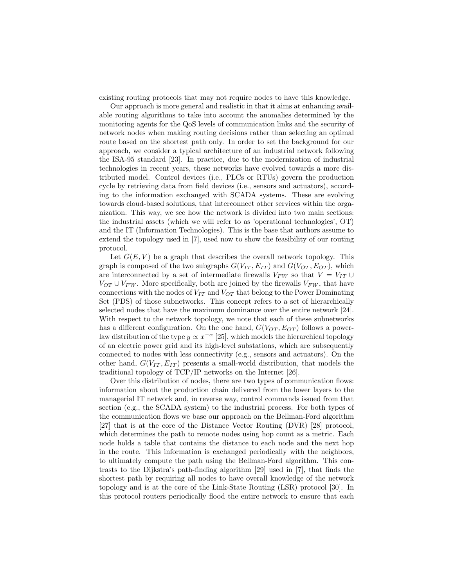existing routing protocols that may not require nodes to have this knowledge.

Our approach is more general and realistic in that it aims at enhancing available routing algorithms to take into account the anomalies determined by the monitoring agents for the QoS levels of communication links and the security of network nodes when making routing decisions rather than selecting an optimal route based on the shortest path only. In order to set the background for our approach, we consider a typical architecture of an industrial network following the ISA-95 standard [23]. In practice, due to the modernization of industrial technologies in recent years, these networks have evolved towards a more distributed model. Control devices (i.e., PLCs or RTUs) govern the production cycle by retrieving data from field devices (i.e., sensors and actuators), according to the information exchanged with SCADA systems. These are evolving towards cloud-based solutions, that interconnect other services within the organization. This way, we see how the network is divided into two main sections: the industrial assets (which we will refer to as 'operational technologies', OT) and the IT (Information Technologies). This is the base that authors assume to extend the topology used in [7], used now to show the feasibility of our routing protocol.

Let  $G(E, V)$  be a graph that describes the overall network topology. This graph is composed of the two subgraphs  $G(V_{IT}, E_{IT})$  and  $G(V_{OT}, E_{OT})$ , which are interconnected by a set of intermediate firewalls  $V_{FW}$  so that  $V = V_{IT} \cup$  $V_{OT} \cup V_{FW}$ . More specifically, both are joined by the firewalls  $V_{FW}$ , that have connections with the nodes of  $V_{IT}$  and  $V_{OT}$  that belong to the Power Dominating Set (PDS) of those subnetworks. This concept refers to a set of hierarchically selected nodes that have the maximum dominance over the entire network [24]. With respect to the network topology, we note that each of these subnetworks has a different configuration. On the one hand,  $G(V_{OT}, E_{OT})$  follows a powerlaw distribution of the type  $y \propto x^{-\alpha}$  [25], which models the hierarchical topology of an electric power grid and its high-level substations, which are subsequently connected to nodes with less connectivity (e.g., sensors and actuators). On the other hand,  $G(V_{IT}, E_{IT})$  presents a small-world distribution, that models the traditional topology of TCP/IP networks on the Internet [26].

Over this distribution of nodes, there are two types of communication flows: information about the production chain delivered from the lower layers to the managerial IT network and, in reverse way, control commands issued from that section (e.g., the SCADA system) to the industrial process. For both types of the communication flows we base our approach on the Bellman-Ford algorithm [27] that is at the core of the Distance Vector Routing (DVR) [28] protocol, which determines the path to remote nodes using hop count as a metric. Each node holds a table that contains the distance to each node and the next hop in the route. This information is exchanged periodically with the neighbors, to ultimately compute the path using the Bellman-Ford algorithm. This contrasts to the Dijkstra's path-finding algorithm [29] used in [7], that finds the shortest path by requiring all nodes to have overall knowledge of the network topology and is at the core of the Link-State Routing (LSR) protocol [30]. In this protocol routers periodically flood the entire network to ensure that each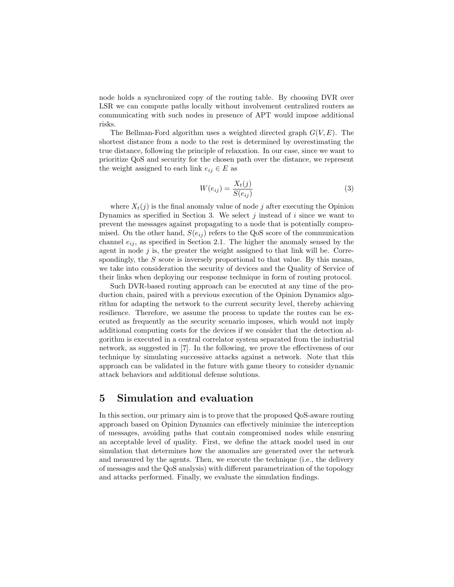node holds a synchronized copy of the routing table. By choosing DVR over LSR we can compute paths locally without involvement centralized routers as communicating with such nodes in presence of APT would impose additional risks.

The Bellman-Ford algorithm uses a weighted directed graph  $G(V, E)$ . The shortest distance from a node to the rest is determined by overestimating the true distance, following the principle of relaxation. In our case, since we want to prioritize QoS and security for the chosen path over the distance, we represent the weight assigned to each link  $e_{ij} \in E$  as

$$
W(e_{ij}) = \frac{X_t(j)}{S(e_{ij})}
$$
\n<sup>(3)</sup>

where  $X_t(j)$  is the final anomaly value of node j after executing the Opinion Dynamics as specified in Section 3. We select  $j$  instead of  $i$  since we want to prevent the messages against propagating to a node that is potentially compromised. On the other hand,  $S(e_{ij})$  refers to the QoS score of the communication channel  $e_{ii}$ , as specified in Section 2.1. The higher the anomaly sensed by the agent in node  $j$  is, the greater the weight assigned to that link will be. Correspondingly, the  $S$  score is inversely proportional to that value. By this means, we take into consideration the security of devices and the Quality of Service of their links when deploying our response technique in form of routing protocol.

Such DVR-based routing approach can be executed at any time of the production chain, paired with a previous execution of the Opinion Dynamics algorithm for adapting the network to the current security level, thereby achieving resilience. Therefore, we assume the process to update the routes can be executed as frequently as the security scenario imposes, which would not imply additional computing costs for the devices if we consider that the detection algorithm is executed in a central correlator system separated from the industrial network, as suggested in [7]. In the following, we prove the effectiveness of our technique by simulating successive attacks against a network. Note that this approach can be validated in the future with game theory to consider dynamic attack behaviors and additional defense solutions.

## 5 Simulation and evaluation

In this section, our primary aim is to prove that the proposed QoS-aware routing approach based on Opinion Dynamics can effectively minimize the interception of messages, avoiding paths that contain compromised nodes while ensuring an acceptable level of quality. First, we define the attack model used in our simulation that determines how the anomalies are generated over the network and measured by the agents. Then, we execute the technique (i.e., the delivery of messages and the QoS analysis) with different parametrization of the topology and attacks performed. Finally, we evaluate the simulation findings.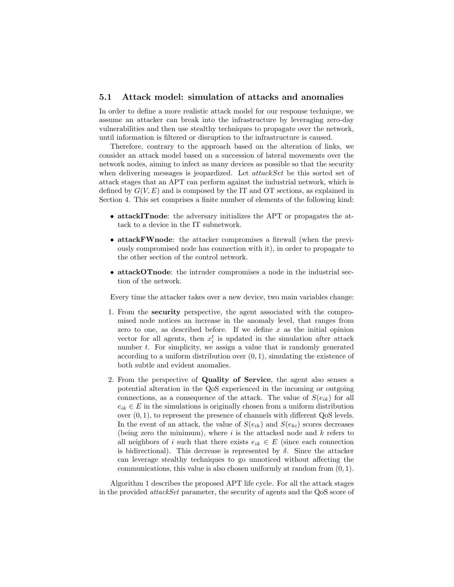#### 5.1 Attack model: simulation of attacks and anomalies

In order to define a more realistic attack model for our response technique, we assume an attacker can break into the infrastructure by leveraging zero-day vulnerabilities and then use stealthy techniques to propagate over the network, until information is filtered or disruption to the infrastructure is caused.

Therefore, contrary to the approach based on the alteration of links, we consider an attack model based on a succession of lateral movements over the network nodes, aiming to infect as many devices as possible so that the security when delivering messages is jeopardized. Let *attackSet* be this sorted set of attack stages that an APT can perform against the industrial network, which is defined by  $G(V, E)$  and is composed by the IT and OT sections, as explained in Section 4. This set comprises a finite number of elements of the following kind:

- attackITnode: the adversary initializes the APT or propagates the attack to a device in the IT subnetwork.
- attackFWnode: the attacker compromises a firewall (when the previously compromised node has connection with it), in order to propagate to the other section of the control network.
- attackOTnode: the intruder compromises a node in the industrial section of the network.

Every time the attacker takes over a new device, two main variables change:

- 1. From the security perspective, the agent associated with the compromised node notices an increase in the anomaly level, that ranges from zero to one, as described before. If we define  $x$  as the initial opinion vector for all agents, then  $x_i^t$  is updated in the simulation after attack number t. For simplicity, we assign a value that is randomly generated according to a uniform distribution over  $(0, 1)$ , simulating the existence of both subtle and evident anomalies.
- 2. From the perspective of Quality of Service, the agent also senses a potential alteration in the QoS experienced in the incoming or outgoing connections, as a consequence of the attack. The value of  $S(e_{ik})$  for all  $e_{ik} \in E$  in the simulations is originally chosen from a uniform distribution over  $(0, 1)$ , to represent the presence of channels with different  $QoS$  levels. In the event of an attack, the value of  $S(e_{ik})$  and  $S(e_{ki})$  scores decreases (being zero the minimum), where  $i$  is the attacked node and  $k$  refers to all neighbors of i such that there exists  $e_{ik} \in E$  (since each connection is bidirectional). This decrease is represented by  $\delta$ . Since the attacker can leverage stealthy techniques to go unnoticed without affecting the communications, this value is also chosen uniformly at random from  $(0, 1)$ .

Algorithm 1 describes the proposed APT life cycle. For all the attack stages in the provided attackSet parameter, the security of agents and the QoS score of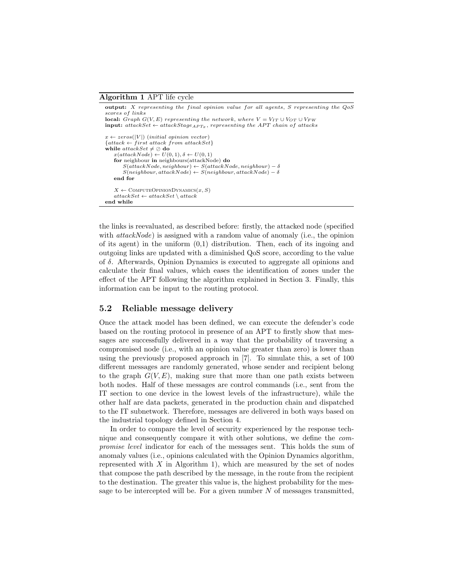#### Algorithm 1 APT life cycle

output:  $X$  representing the final opinion value for all agents,  $S$  representing the  $QoS$ scores of links **local:** Graph G(V, E) representing the network, where  $V = V_{IT} \cup V_{OT} \cup V_{FW}$  $\textbf{input: } attackSet \leftarrow attackStage_{APT_x}, \, representing \, the \, API \, chain \, of \, attacks$  $x \leftarrow zeros(|V|)$  (initial opinion vector)  ${ \{ attack \leftarrow first \; attack \; from \; attackSet \} }$ while  $attackSet \neq \oslash$  do  $x(attackNode) \leftarrow U(0, 1), \delta \leftarrow U(0, 1)$ for neighbour in neighbours(attackNode) do  $S(attackNode, neighbor) \leftarrow S(attackNode, neighbor) - \delta$  $S(neighbour, attackNode) \leftarrow S(neighbour, attackNode) - \delta$ end for  $X \leftarrow \text{COMPUTEOPINIONDYNAMICS}(x, S)$  $attackSet \leftarrow attackSet \setminus attack$ end while

the links is reevaluated, as described before: firstly, the attacked node (specified with  $attackNode)$  is assigned with a random value of anomaly (i.e., the opinion of its agent) in the uniform (0,1) distribution. Then, each of its ingoing and outgoing links are updated with a diminished QoS score, according to the value of  $\delta$ . Afterwards, Opinion Dynamics is executed to aggregate all opinions and calculate their final values, which eases the identification of zones under the effect of the APT following the algorithm explained in Section 3. Finally, this information can be input to the routing protocol.

#### 5.2 Reliable message delivery

Once the attack model has been defined, we can execute the defender's code based on the routing protocol in presence of an APT to firstly show that messages are successfully delivered in a way that the probability of traversing a compromised node (i.e., with an opinion value greater than zero) is lower than using the previously proposed approach in [7]. To simulate this, a set of 100 different messages are randomly generated, whose sender and recipient belong to the graph  $G(V, E)$ , making sure that more than one path exists between both nodes. Half of these messages are control commands (i.e., sent from the IT section to one device in the lowest levels of the infrastructure), while the other half are data packets, generated in the production chain and dispatched to the IT subnetwork. Therefore, messages are delivered in both ways based on the industrial topology defined in Section 4.

In order to compare the level of security experienced by the response technique and consequently compare it with other solutions, we define the compromise level indicator for each of the messages sent. This holds the sum of anomaly values (i.e., opinions calculated with the Opinion Dynamics algorithm, represented with  $X$  in Algorithm 1), which are measured by the set of nodes that compose the path described by the message, in the route from the recipient to the destination. The greater this value is, the highest probability for the message to be intercepted will be. For a given number  $N$  of messages transmitted,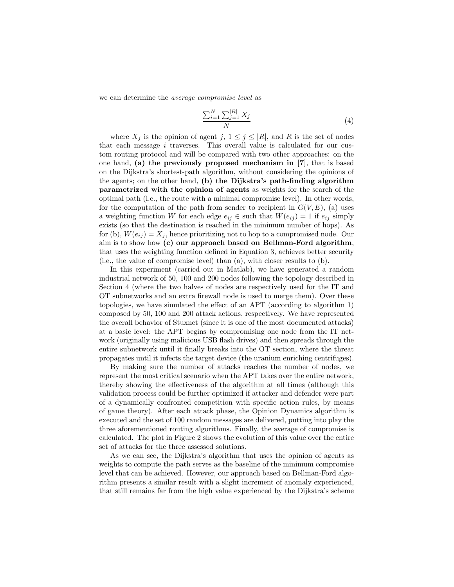we can determine the average compromise level as

$$
\frac{\sum_{i=1}^{N} \sum_{j=1}^{|R|} X_j}{N}
$$
\n(4)

where  $X_j$  is the opinion of agent j,  $1 \leq j \leq |R|$ , and R is the set of nodes that each message  $i$  traverses. This overall value is calculated for our custom routing protocol and will be compared with two other approaches: on the one hand, (a) the previously proposed mechanism in [7], that is based on the Dijkstra's shortest-path algorithm, without considering the opinions of the agents; on the other hand, (b) the Dijkstra's path-finding algorithm parametrized with the opinion of agents as weights for the search of the optimal path (i.e., the route with a minimal compromise level). In other words, for the computation of the path from sender to recipient in  $G(V, E)$ , (a) uses a weighting function W for each edge  $e_{ij} \in \text{such that } W(e_{ij}) = 1$  if  $e_{ij}$  simply exists (so that the destination is reached in the minimum number of hops). As for (b),  $W(e_{ij}) = X_i$ , hence prioritizing not to hop to a compromised node. Our aim is to show how (c) our approach based on Bellman-Ford algorithm, that uses the weighting function defined in Equation 3, achieves better security (i.e., the value of compromise level) than (a), with closer results to (b).

In this experiment (carried out in Matlab), we have generated a random industrial network of 50, 100 and 200 nodes following the topology described in Section 4 (where the two halves of nodes are respectively used for the IT and OT subnetworks and an extra firewall node is used to merge them). Over these topologies, we have simulated the effect of an APT (according to algorithm 1) composed by 50, 100 and 200 attack actions, respectively. We have represented the overall behavior of Stuxnet (since it is one of the most documented attacks) at a basic level: the APT begins by compromising one node from the IT network (originally using malicious USB flash drives) and then spreads through the entire subnetwork until it finally breaks into the OT section, where the threat propagates until it infects the target device (the uranium enriching centrifuges).

By making sure the number of attacks reaches the number of nodes, we represent the most critical scenario when the APT takes over the entire network, thereby showing the effectiveness of the algorithm at all times (although this validation process could be further optimized if attacker and defender were part of a dynamically confronted competition with specific action rules, by means of game theory). After each attack phase, the Opinion Dynamics algorithm is executed and the set of 100 random messages are delivered, putting into play the three aforementioned routing algorithms. Finally, the average of compromise is calculated. The plot in Figure 2 shows the evolution of this value over the entire set of attacks for the three assessed solutions.

As we can see, the Dijkstra's algorithm that uses the opinion of agents as weights to compute the path serves as the baseline of the minimum compromise level that can be achieved. However, our approach based on Bellman-Ford algorithm presents a similar result with a slight increment of anomaly experienced, that still remains far from the high value experienced by the Dijkstra's scheme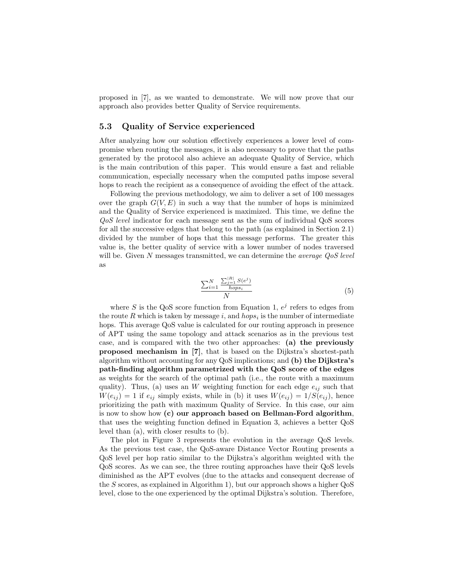proposed in [7], as we wanted to demonstrate. We will now prove that our approach also provides better Quality of Service requirements.

#### 5.3 Quality of Service experienced

After analyzing how our solution effectively experiences a lower level of compromise when routing the messages, it is also necessary to prove that the paths generated by the protocol also achieve an adequate Quality of Service, which is the main contribution of this paper. This would ensure a fast and reliable communication, especially necessary when the computed paths impose several hops to reach the recipient as a consequence of avoiding the effect of the attack.

Following the previous methodology, we aim to deliver a set of 100 messages over the graph  $G(V, E)$  in such a way that the number of hops is minimized and the Quality of Service experienced is maximized. This time, we define the QoS level indicator for each message sent as the sum of individual QoS scores for all the successive edges that belong to the path (as explained in Section 2.1) divided by the number of hops that this message performs. The greater this value is, the better quality of service with a lower number of nodes traversed will be. Given  $N$  messages transmitted, we can determine the *average QoS level* as

$$
\frac{\sum_{i=1}^{N} \frac{\sum_{j=1}^{|R|} S(e^j)}{hops_i}}{N} \tag{5}
$$

where S is the QoS score function from Equation 1,  $e^j$  refers to edges from the route R which is taken by message i, and  $hops_i$  is the number of intermediate hops. This average QoS value is calculated for our routing approach in presence of APT using the same topology and attack scenarios as in the previous test case, and is compared with the two other approaches: (a) the previously proposed mechanism in [7], that is based on the Dijkstra's shortest-path algorithm without accounting for any QoS implications; and (b) the Dijkstra's path-finding algorithm parametrized with the QoS score of the edges as weights for the search of the optimal path (i.e., the route with a maximum quality). Thus, (a) uses an W weighting function for each edge  $e_{ij}$  such that  $W(e_{ij}) = 1$  if  $e_{ij}$  simply exists, while in (b) it uses  $W(e_{ij}) = 1/S(e_{ij})$ , hence prioritizing the path with maximum Quality of Service. In this case, our aim is now to show how (c) our approach based on Bellman-Ford algorithm, that uses the weighting function defined in Equation 3, achieves a better QoS level than (a), with closer results to (b).

The plot in Figure 3 represents the evolution in the average QoS levels. As the previous test case, the QoS-aware Distance Vector Routing presents a QoS level per hop ratio similar to the Dijkstra's algorithm weighted with the QoS scores. As we can see, the three routing approaches have their QoS levels diminished as the APT evolves (due to the attacks and consequent decrease of the S scores, as explained in Algorithm 1), but our approach shows a higher QoS level, close to the one experienced by the optimal Dijkstra's solution. Therefore,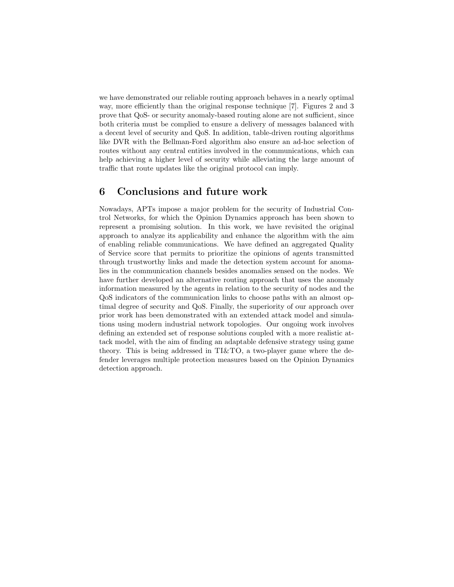we have demonstrated our reliable routing approach behaves in a nearly optimal way, more efficiently than the original response technique [7]. Figures 2 and 3 prove that QoS- or security anomaly-based routing alone are not sufficient, since both criteria must be complied to ensure a delivery of messages balanced with a decent level of security and QoS. In addition, table-driven routing algorithms like DVR with the Bellman-Ford algorithm also ensure an ad-hoc selection of routes without any central entities involved in the communications, which can help achieving a higher level of security while alleviating the large amount of traffic that route updates like the original protocol can imply.

## 6 Conclusions and future work

Nowadays, APTs impose a major problem for the security of Industrial Control Networks, for which the Opinion Dynamics approach has been shown to represent a promising solution. In this work, we have revisited the original approach to analyze its applicability and enhance the algorithm with the aim of enabling reliable communications. We have defined an aggregated Quality of Service score that permits to prioritize the opinions of agents transmitted through trustworthy links and made the detection system account for anomalies in the communication channels besides anomalies sensed on the nodes. We have further developed an alternative routing approach that uses the anomaly information measured by the agents in relation to the security of nodes and the QoS indicators of the communication links to choose paths with an almost optimal degree of security and QoS. Finally, the superiority of our approach over prior work has been demonstrated with an extended attack model and simulations using modern industrial network topologies. Our ongoing work involves defining an extended set of response solutions coupled with a more realistic attack model, with the aim of finding an adaptable defensive strategy using game theory. This is being addressed in TI&TO, a two-player game where the defender leverages multiple protection measures based on the Opinion Dynamics detection approach.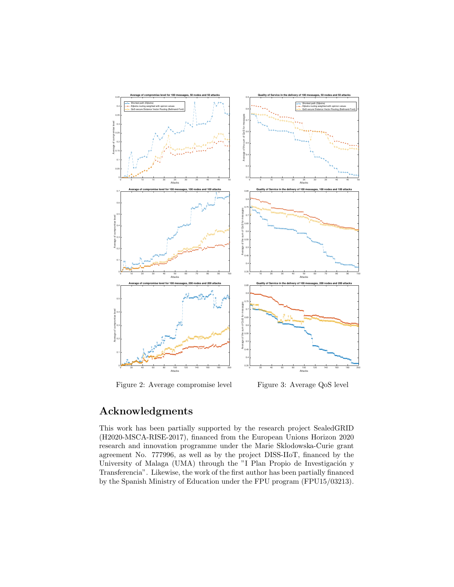

Figure 2: Average compromise level

Figure 3: Average QoS level

## Acknowledgments

This work has been partially supported by the research project SealedGRID (H2020-MSCA-RISE-2017), financed from the European Unions Horizon 2020 research and innovation programme under the Marie Sklodowska-Curie grant agreement No. 777996, as well as by the project DISS-IIoT, financed by the University of Malaga (UMA) through the "I Plan Propio de Investigación y Transferencia". Likewise, the work of the first author has been partially financed by the Spanish Ministry of Education under the FPU program (FPU15/03213).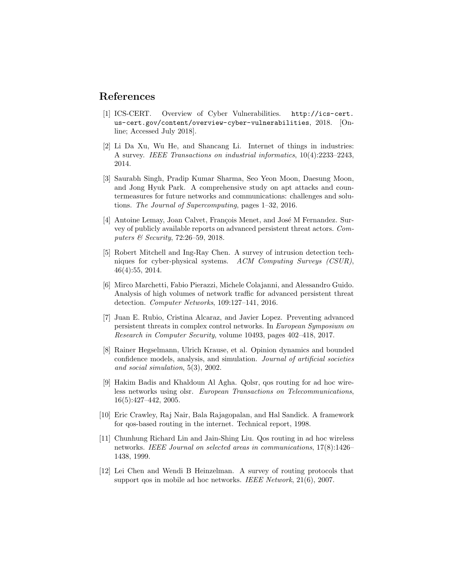## References

- [1] ICS-CERT. Overview of Cyber Vulnerabilities. http://ics-cert. us-cert.gov/content/overview-cyber-vulnerabilities, 2018. [Online; Accessed July 2018].
- [2] Li Da Xu, Wu He, and Shancang Li. Internet of things in industries: A survey. IEEE Transactions on industrial informatics, 10(4):2233–2243, 2014.
- [3] Saurabh Singh, Pradip Kumar Sharma, Seo Yeon Moon, Daesung Moon, and Jong Hyuk Park. A comprehensive study on apt attacks and countermeasures for future networks and communications: challenges and solutions. The Journal of Supercomputing, pages 1–32, 2016.
- [4] Antoine Lemay, Joan Calvet, François Menet, and José M Fernandez. Survey of publicly available reports on advanced persistent threat actors. Computers & Security, 72:26–59, 2018.
- [5] Robert Mitchell and Ing-Ray Chen. A survey of intrusion detection techniques for cyber-physical systems. ACM Computing Surveys (CSUR), 46(4):55, 2014.
- [6] Mirco Marchetti, Fabio Pierazzi, Michele Colajanni, and Alessandro Guido. Analysis of high volumes of network traffic for advanced persistent threat detection. Computer Networks, 109:127–141, 2016.
- [7] Juan E. Rubio, Cristina Alcaraz, and Javier Lopez. Preventing advanced persistent threats in complex control networks. In European Symposium on Research in Computer Security, volume 10493, pages 402–418, 2017.
- [8] Rainer Hegselmann, Ulrich Krause, et al. Opinion dynamics and bounded confidence models, analysis, and simulation. Journal of artificial societies and social simulation, 5(3), 2002.
- [9] Hakim Badis and Khaldoun Al Agha. Qolsr, qos routing for ad hoc wireless networks using olsr. European Transactions on Telecommunications, 16(5):427–442, 2005.
- [10] Eric Crawley, Raj Nair, Bala Rajagopalan, and Hal Sandick. A framework for qos-based routing in the internet. Technical report, 1998.
- [11] Chunhung Richard Lin and Jain-Shing Liu. Qos routing in ad hoc wireless networks. IEEE Journal on selected areas in communications, 17(8):1426– 1438, 1999.
- [12] Lei Chen and Wendi B Heinzelman. A survey of routing protocols that support qos in mobile ad hoc networks. IEEE Network,  $21(6)$ ,  $2007$ .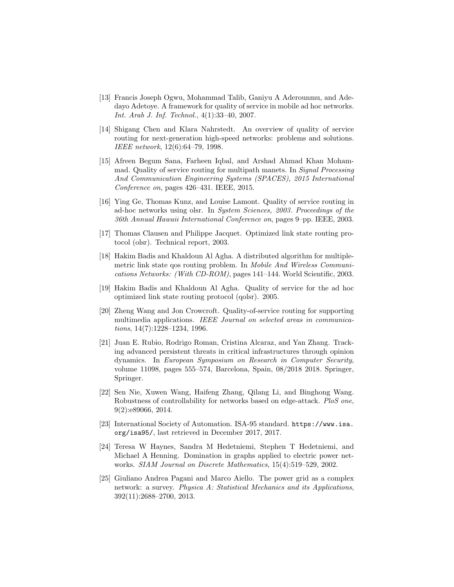- [13] Francis Joseph Ogwu, Mohammad Talib, Ganiyu A Aderounmu, and Adedayo Adetoye. A framework for quality of service in mobile ad hoc networks. Int. Arab J. Inf. Technol., 4(1):33–40, 2007.
- [14] Shigang Chen and Klara Nahrstedt. An overview of quality of service routing for next-generation high-speed networks: problems and solutions. IEEE network, 12(6):64–79, 1998.
- [15] Afreen Begum Sana, Farheen Iqbal, and Arshad Ahmad Khan Mohammad. Quality of service routing for multipath manets. In Signal Processing And Communication Engineering Systems (SPACES), 2015 International Conference on, pages 426–431. IEEE, 2015.
- [16] Ying Ge, Thomas Kunz, and Louise Lamont. Quality of service routing in ad-hoc networks using olsr. In System Sciences, 2003. Proceedings of the 36th Annual Hawaii International Conference on, pages 9–pp. IEEE, 2003.
- [17] Thomas Clausen and Philippe Jacquet. Optimized link state routing protocol (olsr). Technical report, 2003.
- [18] Hakim Badis and Khaldoun Al Agha. A distributed algorithm for multiplemetric link state qos routing problem. In Mobile And Wireless Communications Networks: (With CD-ROM), pages 141–144. World Scientific, 2003.
- [19] Hakim Badis and Khaldoun Al Agha. Quality of service for the ad hoc optimized link state routing protocol (qolsr). 2005.
- [20] Zheng Wang and Jon Crowcroft. Quality-of-service routing for supporting multimedia applications. IEEE Journal on selected areas in communications, 14(7):1228–1234, 1996.
- [21] Juan E. Rubio, Rodrigo Roman, Cristina Alcaraz, and Yan Zhang. Tracking advanced persistent threats in critical infrastructures through opinion dynamics. In European Symposium on Research in Computer Security, volume 11098, pages 555–574, Barcelona, Spain, 08/2018 2018. Springer, Springer.
- [22] Sen Nie, Xuwen Wang, Haifeng Zhang, Qilang Li, and Binghong Wang. Robustness of controllability for networks based on edge-attack. PloS one, 9(2):e89066, 2014.
- [23] International Society of Automation. ISA-95 standard. https://www.isa. org/isa95/, last retrieved in December 2017, 2017.
- [24] Teresa W Haynes, Sandra M Hedetniemi, Stephen T Hedetniemi, and Michael A Henning. Domination in graphs applied to electric power networks. SIAM Journal on Discrete Mathematics, 15(4):519–529, 2002.
- [25] Giuliano Andrea Pagani and Marco Aiello. The power grid as a complex network: a survey. Physica A: Statistical Mechanics and its Applications, 392(11):2688–2700, 2013.